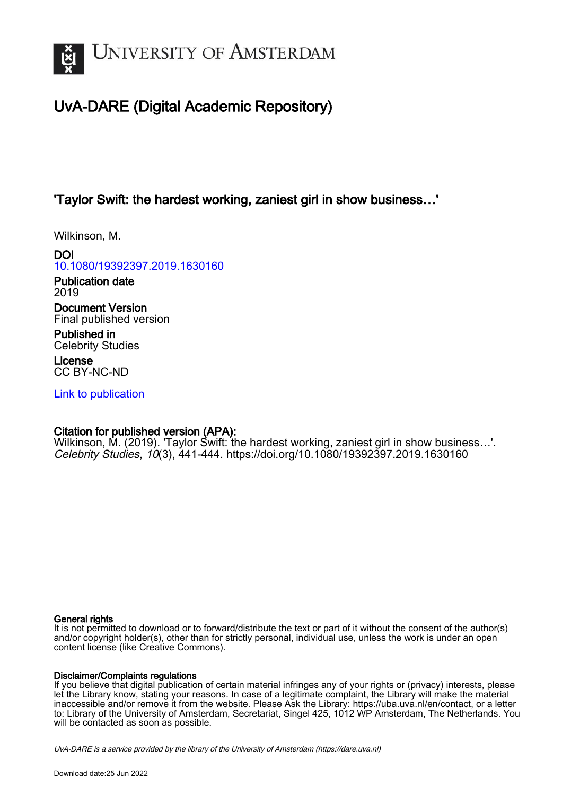

# UvA-DARE (Digital Academic Repository)

## 'Taylor Swift: the hardest working, zaniest girl in show business…'

Wilkinson, M.

DOI [10.1080/19392397.2019.1630160](https://doi.org/10.1080/19392397.2019.1630160)

Publication date 2019

Document Version Final published version

Published in Celebrity Studies

License CC BY-NC-ND

[Link to publication](https://dare.uva.nl/personal/pure/en/publications/taylor-swift-the-hardest-working-zaniest-girl-in-show-business(efcd3abd-9838-4e9b-a45d-9f9adf281079).html)

### Citation for published version (APA):

Wilkinson, M. (2019). 'Taylor Swift: the hardest working, zaniest girl in show business…'. Celebrity Studies, 10(3), 441-444. <https://doi.org/10.1080/19392397.2019.1630160>

### General rights

It is not permitted to download or to forward/distribute the text or part of it without the consent of the author(s) and/or copyright holder(s), other than for strictly personal, individual use, unless the work is under an open content license (like Creative Commons).

### Disclaimer/Complaints regulations

If you believe that digital publication of certain material infringes any of your rights or (privacy) interests, please let the Library know, stating your reasons. In case of a legitimate complaint, the Library will make the material inaccessible and/or remove it from the website. Please Ask the Library: https://uba.uva.nl/en/contact, or a letter to: Library of the University of Amsterdam, Secretariat, Singel 425, 1012 WP Amsterdam, The Netherlands. You will be contacted as soon as possible.

UvA-DARE is a service provided by the library of the University of Amsterdam (http*s*://dare.uva.nl)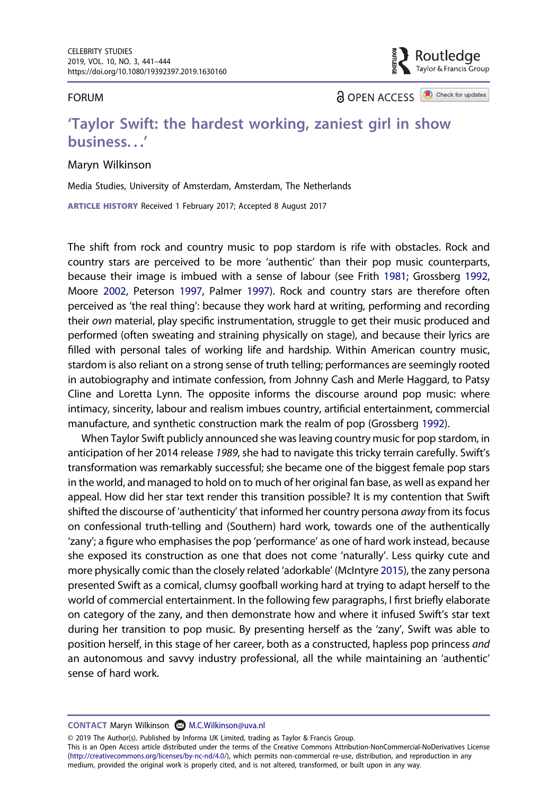#### FORUM

**a** OPEN ACCESS **a** Check for updates

outledge? Taylor & Francis Group

### 'Taylor Swift: the hardest working, zaniest girl in show business. . .'

#### Maryn Wilkinson

Media Studies, University of Amsterdam, Amsterdam, The Netherlands

ARTICLE HISTORY Received 1 February 2017; Accepted 8 August 2017

<span id="page-1-3"></span><span id="page-1-0"></span>The shift from rock and country music to pop stardom is rife with obstacles. Rock and country stars are perceived to be more 'authentic' than their pop music counterparts, because their image is imbued with a sense of labour (see Frith [1981](#page-4-0); Grossberg [1992](#page-4-1), Moore [2002](#page-4-2), Peterson [1997,](#page-4-3) Palmer [1997](#page-4-4)). Rock and country stars are therefore often perceived as 'the real thing': because they work hard at writing, performing and recording their own material, play specific instrumentation, struggle to get their music produced and performed (often sweating and straining physically on stage), and because their lyrics are filled with personal tales of working life and hardship. Within American country music, stardom is also reliant on a strong sense of truth telling; performances are seemingly rooted in autobiography and intimate confession, from Johnny Cash and Merle Haggard, to Patsy Cline and Loretta Lynn. The opposite informs the discourse around pop music: where intimacy, sincerity, labour and realism imbues country, artificial entertainment, commercial manufacture, and synthetic construction mark the realm of pop (Grossberg [1992](#page-4-1)).

<span id="page-1-2"></span><span id="page-1-1"></span>When Taylor Swift publicly announced she was leaving country music for pop stardom, in anticipation of her 2014 release 1989, she had to navigate this tricky terrain carefully. Swift's transformation was remarkably successful; she became one of the biggest female pop stars in the world, and managed to hold on to much of her original fan base, as well as expand her appeal. How did her star text render this transition possible? It is my contention that Swift shifted the discourse of 'authenticity' that informed her country persona away from its focus on confessional truth-telling and (Southern) hard work, towards one of the authentically 'zany'; a figure who emphasises the pop 'performance' as one of hard work instead, because she exposed its construction as one that does not come 'naturally'. Less quirky cute and more physically comic than the closely related 'adorkable' (McIntyre [2015\)](#page-4-5), the zany persona presented Swift as a comical, clumsy goofball working hard at trying to adapt herself to the world of commercial entertainment. In the following few paragraphs, I first briefly elaborate on category of the zany, and then demonstrate how and where it infused Swift's star text during her transition to pop music. By presenting herself as the 'zany', Swift was able to position herself, in this stage of her career, both as a constructed, hapless pop princess and an autonomous and savvy industry professional, all the while maintaining an 'authentic' sense of hard work.

© 2019 The Author(s). Published by Informa UK Limited, trading as Taylor & Francis Group.

This is an Open Access article distributed under the terms of the Creative Commons Attribution-NonCommercial-NoDerivatives License (http://creativecommons.org/licenses/by-nc-nd/4.0/), which permits non-commercial re-use, distribution, and reproduction in any medium, provided the original work is properly cited, and is not altered, transformed, or built upon in any way.

CONTACT Maryn Wilkinson **M.C.Wilkinson@uva.nl**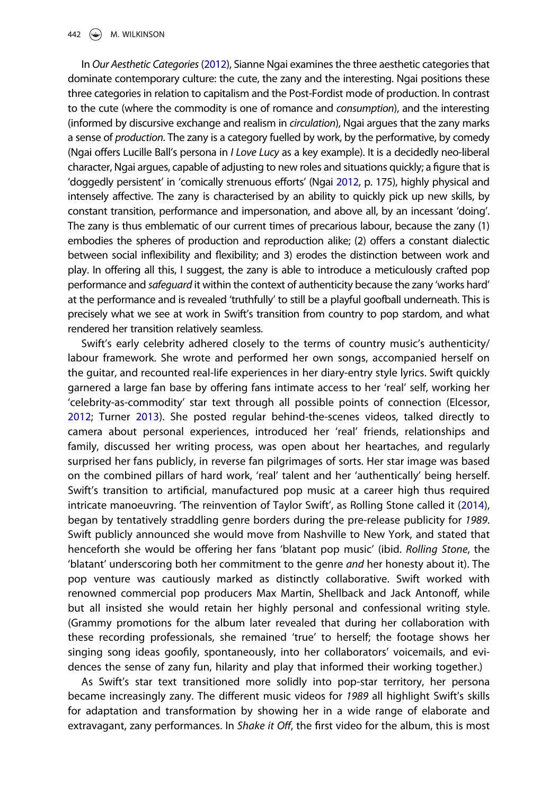<span id="page-2-2"></span>In Our Aesthetic Categories ([2012](#page-4-6)), Sianne Ngai examines the three aesthetic categories that dominate contemporary culture: the cute, the zany and the interesting. Ngai positions these three categories in relation to capitalism and the Post-Fordist mode of production. In contrast to the cute (where the commodity is one of romance and consumption), and the interesting (informed by discursive exchange and realism in *circulation*), Ngai argues that the zany marks a sense of production. The zany is a category fuelled by work, by the performative, by comedy (Ngai offers Lucille Ball's persona in I Love Lucy as a key example). It is a decidedly neo-liberal character, Ngai argues, capable of adjusting to new roles and situations quickly; a figure that is 'doggedly persistent' in 'comically strenuous efforts' (Ngai [2012](#page-4-6), p. 175), highly physical and intensely affective. The zany is characterised by an ability to quickly pick up new skills, by constant transition, performance and impersonation, and above all, by an incessant 'doing'. The zany is thus emblematic of our current times of precarious labour, because the zany (1) embodies the spheres of production and reproduction alike; (2) offers a constant dialectic between social inflexibility and flexibility; and 3) erodes the distinction between work and play. In offering all this, I suggest, the zany is able to introduce a meticulously crafted pop performance and safeguard it within the context of authenticity because the zany 'works hard' at the performance and is revealed 'truthfully' to still be a playful goofball underneath. This is precisely what we see at work in Swift's transition from country to pop stardom, and what rendered her transition relatively seamless.

<span id="page-2-3"></span><span id="page-2-1"></span><span id="page-2-0"></span>Swift's early celebrity adhered closely to the terms of country music's authenticity/ labour framework. She wrote and performed her own songs, accompanied herself on the guitar, and recounted real-life experiences in her diary-entry style lyrics. Swift quickly garnered a large fan base by offering fans intimate access to her 'real' self, working her 'celebrity-as-commodity' star text through all possible points of connection (Elcessor, [2012;](#page-4-7) Turner [2013\)](#page-4-8). She posted regular behind-the-scenes videos, talked directly to camera about personal experiences, introduced her 'real' friends, relationships and family, discussed her writing process, was open about her heartaches, and regularly surprised her fans publicly, in reverse fan pilgrimages of sorts. Her star image was based on the combined pillars of hard work, 'real' talent and her 'authentically' being herself. Swift's transition to artificial, manufactured pop music at a career high thus required intricate manoeuvring. 'The reinvention of Taylor Swift', as Rolling Stone called it ([2014](#page-4-9)), began by tentatively straddling genre borders during the pre-release publicity for 1989. Swift publicly announced she would move from Nashville to New York, and stated that henceforth she would be offering her fans 'blatant pop music' (ibid. Rolling Stone, the 'blatant' underscoring both her commitment to the genre and her honesty about it). The pop venture was cautiously marked as distinctly collaborative. Swift worked with renowned commercial pop producers Max Martin, Shellback and Jack Antonoff, while but all insisted she would retain her highly personal and confessional writing style. (Grammy promotions for the album later revealed that during her collaboration with these recording professionals, she remained 'true' to herself; the footage shows her singing song ideas goofily, spontaneously, into her collaborators' voicemails, and evidences the sense of zany fun, hilarity and play that informed their working together.)

As Swift's star text transitioned more solidly into pop-star territory, her persona became increasingly zany. The different music videos for 1989 all highlight Swift's skills for adaptation and transformation by showing her in a wide range of elaborate and extravagant, zany performances. In Shake it Off, the first video for the album, this is most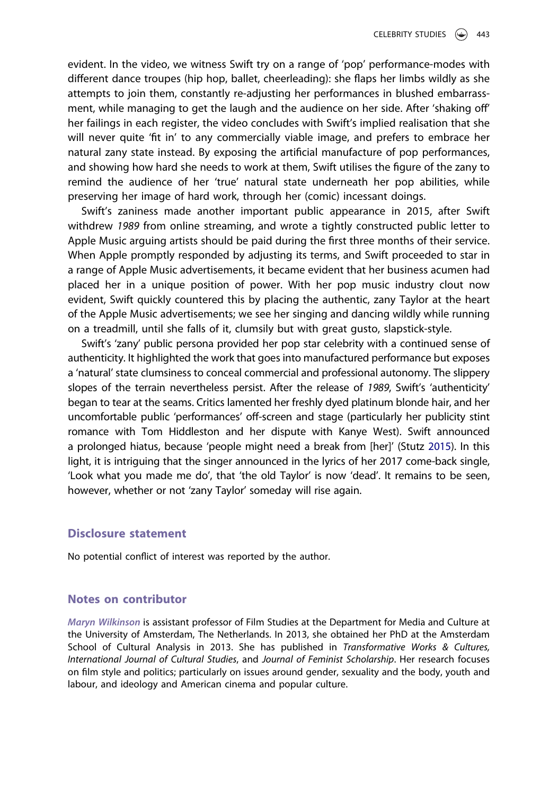evident. In the video, we witness Swift try on a range of 'pop' performance-modes with different dance troupes (hip hop, ballet, cheerleading): she flaps her limbs wildly as she attempts to join them, constantly re-adjusting her performances in blushed embarrassment, while managing to get the laugh and the audience on her side. After 'shaking off' her failings in each register, the video concludes with Swift's implied realisation that she will never quite 'fit in' to any commercially viable image, and prefers to embrace her natural zany state instead. By exposing the artificial manufacture of pop performances, and showing how hard she needs to work at them, Swift utilises the figure of the zany to remind the audience of her 'true' natural state underneath her pop abilities, while preserving her image of hard work, through her (comic) incessant doings.

Swift's zaniness made another important public appearance in 2015, after Swift withdrew 1989 from online streaming, and wrote a tightly constructed public letter to Apple Music arguing artists should be paid during the first three months of their service. When Apple promptly responded by adjusting its terms, and Swift proceeded to star in a range of Apple Music advertisements, it became evident that her business acumen had placed her in a unique position of power. With her pop music industry clout now evident, Swift quickly countered this by placing the authentic, zany Taylor at the heart of the Apple Music advertisements; we see her singing and dancing wildly while running on a treadmill, until she falls of it, clumsily but with great gusto, slapstick-style.

Swift's 'zany' public persona provided her pop star celebrity with a continued sense of authenticity. It highlighted the work that goes into manufactured performance but exposes a 'natural' state clumsiness to conceal commercial and professional autonomy. The slippery slopes of the terrain nevertheless persist. After the release of 1989, Swift's 'authenticity' began to tear at the seams. Critics lamented her freshly dyed platinum blonde hair, and her uncomfortable public 'performances' off-screen and stage (particularly her publicity stint romance with Tom Hiddleston and her dispute with Kanye West). Swift announced a prolonged hiatus, because 'people might need a break from [her]' (Stutz [2015\)](#page-4-10). In this light, it is intriguing that the singer announced in the lyrics of her 2017 come-back single, 'Look what you made me do', that 'the old Taylor' is now 'dead'. It remains to be seen, however, whether or not 'zany Taylor' someday will rise again.

### <span id="page-3-0"></span>Disclosure statement

No potential conflict of interest was reported by the author.

### Notes on contributor

Maryn Wilkinson is assistant professor of Film Studies at the Department for Media and Culture at the University of Amsterdam, The Netherlands. In 2013, she obtained her PhD at the Amsterdam School of Cultural Analysis in 2013. She has published in Transformative Works & Cultures, International Journal of Cultural Studies, and Journal of Feminist Scholarship. Her research focuses on film style and politics; particularly on issues around gender, sexuality and the body, youth and labour, and ideology and American cinema and popular culture.